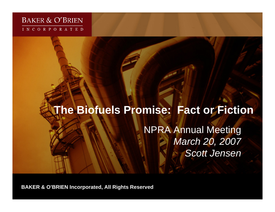#### **BAKER & O'BRIEN** INCORPORATED

# **The Biofuels Promise: Fact or Fiction**

NPRA Annual Meeting *March 20, 2007 Scott Jensen*

**BAKER & O'BRIEN Incorporated, All Rights Reserved**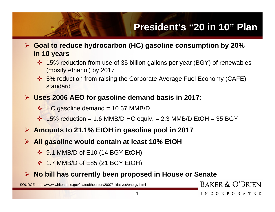# **President's "20 in 10" Plan**

- ¾ **Goal to reduce hydrocarbon (HC) gasoline consumption by 20% in 10 years**
	- ❖ 15% reduction from use of 35 billion gallons per year (BGY) of renewables (mostly ethanol) by 2017
	- ❖ 5% reduction from raising the Corporate Average Fuel Economy (CAFE) standard
- ¾ **Uses 2006 AEO for gasoline demand basis in 2017:**
	- $\div$  HC gasoline demand = 10.67 MMB/D
	- $\div$  15% reduction = 1.6 MMB/D HC equiv. = 2.3 MMB/D EtOH = 35 BGY
- ¾ **Amounts to 21.1% EtOH in gasoline pool in 2017**
- ¾ **All gasoline would contain at least 10% EtOH**
	- **❖ 9.1 MMB/D of E10 (14 BGY EtOH)**
	- **❖ 1.7 MMB/D of E85 (21 BGY EtOH)**
- ¾ **No bill has currently been proposed in House or Senate**

SOURCE: http://www.whitehouse.gov/stateoftheunion/2007/initiatives/energy.html

#### BAKER & O'BRIEN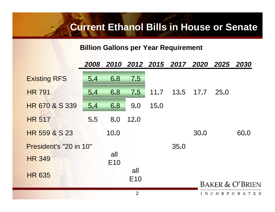### **Current Ethanol Bills in House or Senate**

#### **Billion Gallons per Year Requirement**

|                        |     |                |                        |      | 2008 2010 2012 2015 2017 2020 2025 2030 |           |                            |      |  |
|------------------------|-----|----------------|------------------------|------|-----------------------------------------|-----------|----------------------------|------|--|
| <b>Existing RFS</b>    | 5.4 | 6.8            | 7.5                    |      |                                         |           |                            |      |  |
| <b>HR 791</b>          | 5.4 | 6.8            | 7.5                    | 11.7 |                                         | 13.5 17.7 | 25.0                       |      |  |
| HR 670 & S 339         | 5.4 | 6.8            | 9.0                    | 15.0 |                                         |           |                            |      |  |
| <b>HR 517</b>          | 5.5 | 8.0            | 12.0                   |      |                                         |           |                            |      |  |
| HR 559 & S 23          |     | 10.0           |                        |      |                                         | 30.0      |                            | 60.0 |  |
| President's "20 in 10" |     |                |                        |      | 35.0                                    |           |                            |      |  |
| <b>HR 349</b>          |     | all<br>E10     |                        |      |                                         |           |                            |      |  |
| <b>HR 635</b>          |     |                | all<br>E <sub>10</sub> |      |                                         |           |                            |      |  |
|                        |     |                |                        |      |                                         |           | <b>BAKER &amp; O'BRIEI</b> |      |  |
|                        |     | $\overline{2}$ |                        |      |                                         |           | INCORPORATE                |      |  |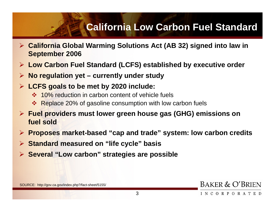### **California Low Carbon Fuel Standard**

- ¾ **California Global Warming Solutions Act (AB 32) signed into law in September 2006**
- $\blacktriangleright$ **Low Carbon Fuel Standard (LCFS) established by executive order**
- ¾**No regulation yet – currently under study**
- ¾ **LCFS goals to be met by 2020 include:**
	- **❖ 10% reduction in carbon content of vehicle fuels**
	- ❖ Replace 20% of gasoline consumption with low carbon fuels
- ¾ **Fuel providers must lower green house gas (GHG) emissions on fuel sold**
- ¾ **Proposes market-based "cap and trade" system: low carbon credits**
- $\blacktriangleright$ **Standard measured on "life cycle" basis**
- ¾ **Several "Low carbon" strategies are possible**

BAKER & O'BRIEN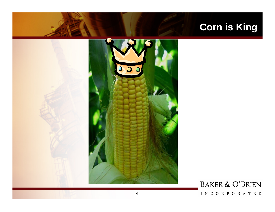# **Corn is King**



### **BAKER & O'BRIEN**

#### INCORPORATED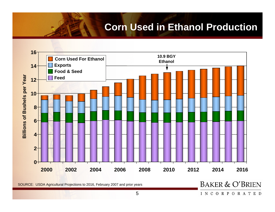### **Corn Used in Ethanol Production**



SOURCE: USDA Agricultural Projections to 2016, February 2007 and prior years

**BAKER & O'BRIEN** 

INCORPORATED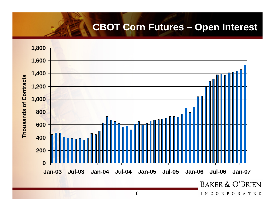### **CBOT Corn Futures – Open Interest**

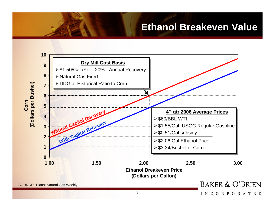### **Ethanol Breakeven Value**



INCORPORATED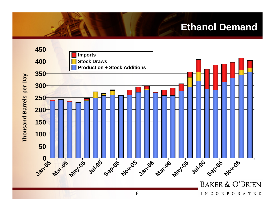## **Ethanol Demand**